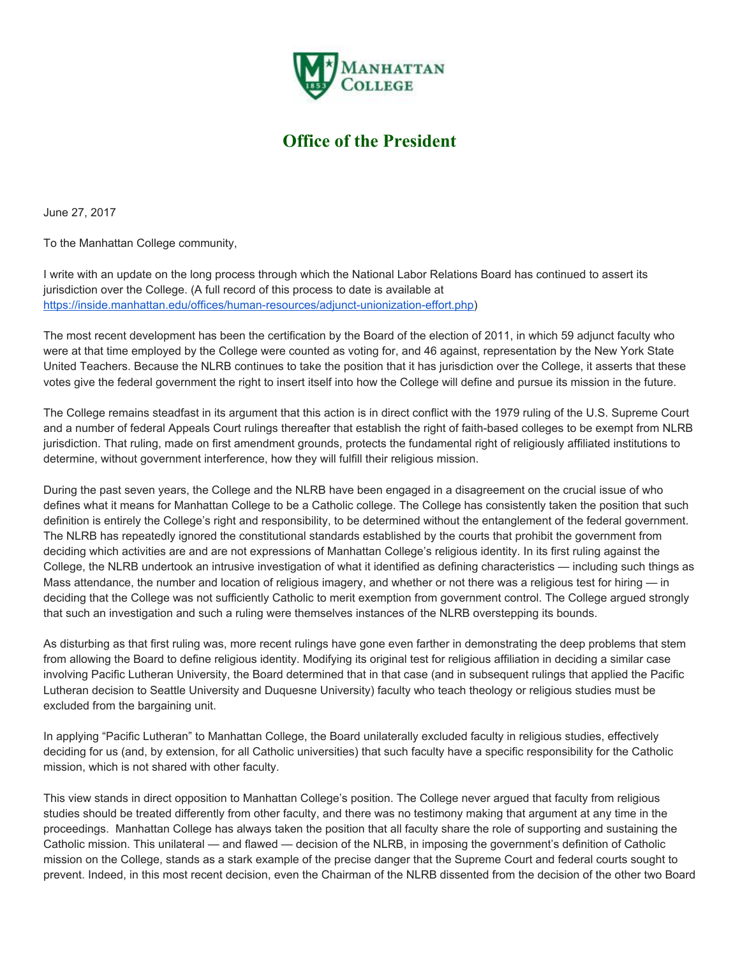

## **Office of the President**

June 27, 2017

To the Manhattan College community,

I write with an update on the long process through which the National Labor Relations Board has continued to assert its jurisdiction over the College. (A full record of this process to date is available at <https://inside.manhattan.edu/offices/human-resources/adjunct-unionization-effort.php>)

The most recent development has been the certification by the Board of the election of 2011, in which 59 adjunct faculty who were at that time employed by the College were counted as voting for, and 46 against, representation by the New York State United Teachers. Because the NLRB continues to take the position that it has jurisdiction over the College, it asserts that these votes give the federal government the right to insert itself into how the College will define and pursue its mission in the future.

The College remains steadfast in its argument that this action is in direct conflict with the 1979 ruling of the U.S. Supreme Court and a number of federal Appeals Court rulings thereafter that establish the right of faith-based colleges to be exempt from NLRB jurisdiction. That ruling, made on first amendment grounds, protects the fundamental right of religiously affiliated institutions to determine, without government interference, how they will fulfill their religious mission.

During the past seven years, the College and the NLRB have been engaged in a disagreement on the crucial issue of who defines what it means for Manhattan College to be a Catholic college. The College has consistently taken the position that such definition is entirely the College's right and responsibility, to be determined without the entanglement of the federal government. The NLRB has repeatedly ignored the constitutional standards established by the courts that prohibit the government from deciding which activities are and are not expressions of Manhattan College's religious identity. In its first ruling against the College, the NLRB undertook an intrusive investigation of what it identified as defining characteristics — including such things as Mass attendance, the number and location of religious imagery, and whether or not there was a religious test for hiring — in deciding that the College was not sufficiently Catholic to merit exemption from government control. The College argued strongly that such an investigation and such a ruling were themselves instances of the NLRB overstepping its bounds.

As disturbing as that first ruling was, more recent rulings have gone even farther in demonstrating the deep problems that stem from allowing the Board to define religious identity. Modifying its original test for religious affiliation in deciding a similar case involving Pacific Lutheran University, the Board determined that in that case (and in subsequent rulings that applied the Pacific Lutheran decision to Seattle University and Duquesne University) faculty who teach theology or religious studies must be excluded from the bargaining unit.

In applying "Pacific Lutheran" to Manhattan College, the Board unilaterally excluded faculty in religious studies, effectively deciding for us (and, by extension, for all Catholic universities) that such faculty have a specific responsibility for the Catholic mission, which is not shared with other faculty.

This view stands in direct opposition to Manhattan College's position. The College never argued that faculty from religious studies should be treated differently from other faculty, and there was no testimony making that argument at any time in the proceedings. Manhattan College has always taken the position that all faculty share the role of supporting and sustaining the Catholic mission. This unilateral — and flawed — decision of the NLRB, in imposing the government's definition of Catholic mission on the College, stands as a stark example of the precise danger that the Supreme Court and federal courts sought to prevent. Indeed, in this most recent decision, even the Chairman of the NLRB dissented from the decision of the other two Board